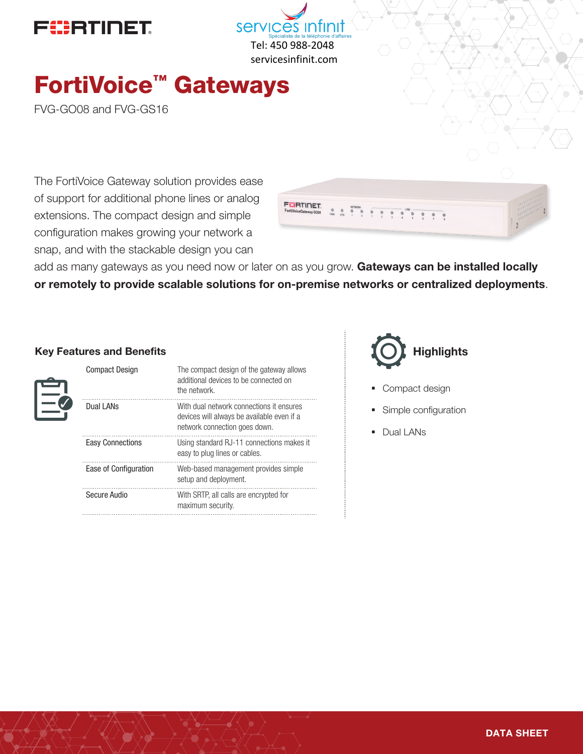



# FortiVoice™ Gateways

FVG-GO08 and FVG-GS16

The FortiVoice Gateway solution provides ease of support for additional phone lines or analog extensions. The compact design and simple configuration makes growing your network a snap, and with the stackable design you can



add as many gateways as you need now or later on as you grow. Gateways can be installed locally or remotely to provide scalable solutions for on-premise networks or centralized deployments.

#### Key Features and Benefits

| <b>Compact Design</b>   | The compact design of the gateway allows<br>additional devices to be connected on<br>the network.                       |
|-------------------------|-------------------------------------------------------------------------------------------------------------------------|
| Dual LANS               | With dual network connections it ensures<br>devices will always be available even if a<br>network connection goes down. |
| <b>Easy Connections</b> | Using standard RJ-11 connections makes it<br>easy to plug lines or cables.                                              |
| Ease of Configuration   | Web-based management provides simple<br>setup and deployment.                                                           |
| Secure Audio            | With SRTP, all calls are encrypted for<br>maximum security.                                                             |



- Compact design
- § Simple configuration
- Dual LANs